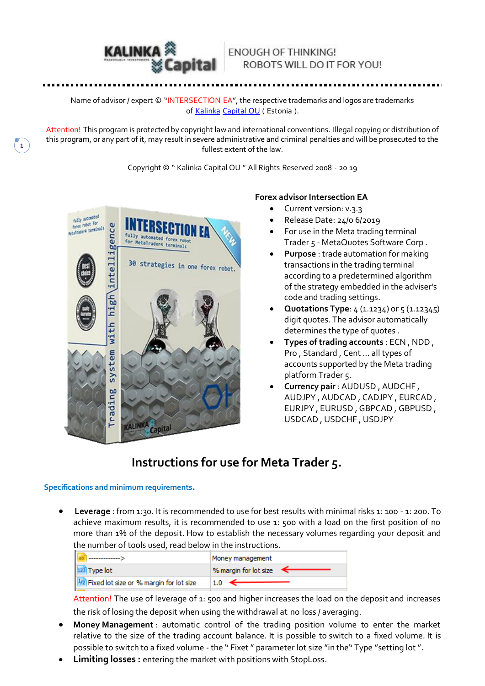

**1**

### **ENOUGH OF THINKING!** ROBOTS WILL DO IT FOR YOU!

Name of advisor / expert © "INTERSECTION EA", the respective trademarks and logos are trademarks of [Kalinka](https://translate.google.com/translate?hl=ru&prev=_t&sl=ru&tl=en&u=http://kalinkacapital.ee/) [Capital](https://translate.google.com/translate?hl=ru&prev=_t&sl=ru&tl=en&u=http://kalinkacapital.ee/) OU ( Estonia ).

Attention! This program is protected by copyright law and international conventions. Illegal copying or distribution of this program, or any part of it, may result in severe administrative and criminal penalties and will be prosecuted to the fullest extent of the law.

Copyright © " Kalinka Capital OU " All Rights Reserved 2008 - 20 19



#### **Forex advisor Intersection EA**

- Current version: v.3.3
- Release Date: 24/0 6/2019
- For use in the Meta trading terminal Trader 5 - MetaQuotes Software Corp .
- **Purpose** : trade automation for making transactions in the trading terminal according to a predetermined algorithm of the strategy embedded in the adviser's code and trading settings.
- **Quotations Type**: 4 (1.1234) or 5 (1.12345) digit quotes. The advisor automatically determines the type of quotes .
- **Types of trading accounts** : ECN , NDD , Pro , Standard , Cent ... all types of accounts supported by the Meta trading platform Trader 5.
- **Currency pair** : AUDUSD , AUDCHF , AUDJPY , AUDCAD , CADJPY , EURCAD , EURJPY , EURUSD , GBPCAD , GBPUSD , USDCAD , USDCHF , USDJPY

# **Instructions for use for Meta Trader 5.**

#### **Specifications and minimum requirements.**

 **Leverage** : from 1:30. It is recommended to use for best results with minimal risks 1: 100 - 1: 200. To achieve maximum results, it is recommended to use 1: 500 with a load on the first position of no more than 1% of the deposit. How to establish the necessary volumes regarding your deposit and the number of tools used, read below in the instructions.

|                                         | Money management      |
|-----------------------------------------|-----------------------|
| 123 Type lot                            | % margin for lot size |
| Fixed lot size or % margin for lot size | $1.0 \leftarrow$      |

Attention! The use of leverage of 1: 500 and higher increases the load on the deposit and increases the risk of losing the deposit when using the withdrawal at no loss / averaging.

- **Money Management** : automatic control of the trading position volume to enter the market relative to the size of the trading account balance. It is possible to switch to a fixed volume. It is possible to switch to a fixed volume - the " Fixet " parameter lot size "in the" Type "setting lot ".
- **Limiting losses :** entering the market with positions with StopLoss.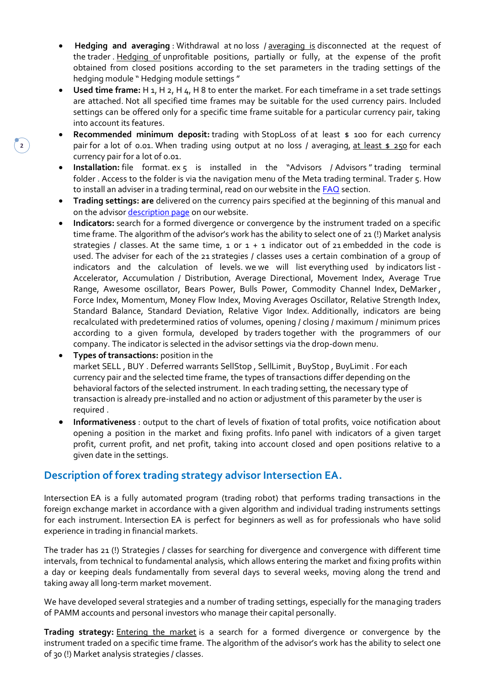- **Hedging and averaging** : Withdrawal at no loss / averaging is disconnected at the request of the trader . Hedging of unprofitable positions, partially or fully, at the expense of the profit obtained from closed positions according to the set parameters in the trading settings of the hedging module " Hedging module settings "
- **Used time frame:** H 1, H 2, H 4, H 8 to enter the market. For each timeframe in a set trade settings are attached. Not all specified time frames may be suitable for the used currency pairs. Included settings can be offered only for a specific time frame suitable for a particular currency pair, taking into account its features.
- **Recommended minimum deposit:** trading with StopLoss of at least \$ 100 for each currency pair for a lot of 0.01. When trading using output at no loss / averaging, at least  $\frac{1}{250}$  for each currency pair for a lot of 0.01.
- Installation: file format. ex 5 is installed in the "Advisors / Advisors" trading terminal folder . Access to the folder is via the navigation menu of the Meta trading terminal. Trader 5. How to install an adviser in a trading terminal, read on our website in the [FAQ](https://soft4forex.com/faq/how-to-use-trial-demo-version-of-forex-advisor-20) section.
- **Trading settings: are** delivered on the currency pairs specified at the beginning of this manual and on the advisor [description page](https://soft4forex.com/software-for-trader/trade-robots/trading-robot-intersection-ea-122) on our website.
- **Indicators:** search for a formed divergence or convergence by the instrument traded on a specific time frame. The algorithm of the advisor's work has the ability to select one of 21 (!) Market analysis strategies / classes. At the same time,  $1$  or  $1 + 1$  indicator out of 21 embedded in the code is used. The adviser for each of the 21 strategies / classes uses a certain combination of a group of indicators and the calculation of levels. we we will list everything used by indicators list - Accelerator, Accumulation / Distribution, Average Directional, Movement Index, Average True Range, Awesome oscillator, Bears Power, Bulls Power, Commodity Channel Index, DeMarker , Force Index, Momentum, Money Flow Index, Moving Averages Oscillator, Relative Strength Index, Standard Balance, Standard Deviation, Relative Vigor Index. Additionally, indicators are being recalculated with predetermined ratios of volumes, opening / closing / maximum / minimum prices according to a given formula, developed by traders together with the programmers of our company. The indicator is selected in the advisor settings via the drop-down menu.
- **Types of transactions:** position in the market SELL , BUY . Deferred warrants SellStop , SellLimit , BuyStop , BuyLimit . For each currency pair and the selected time frame, the types of transactions differ depending on the behavioral factors of the selected instrument. In each trading setting, the necessary type of transaction is already pre-installed and no action or adjustment of this parameter by the user is required .
- **Informativeness** : output to the chart of levels of fixation of total profits, voice notification about opening a position in the market and fixing profits. Info panel with indicators of a given target profit, current profit, and net profit, taking into account closed and open positions relative to a given date in the settings.

### **Description of forex trading strategy advisor Intersection EA.**

Intersection EA is a fully automated program (trading robot) that performs trading transactions in the foreign exchange market in accordance with a given algorithm and individual trading instruments settings for each instrument. Intersection EA is perfect for beginners as well as for professionals who have solid experience in trading in financial markets.

The trader has 21 (!) Strategies / classes for searching for divergence and convergence with different time intervals, from technical to fundamental analysis, which allows entering the market and fixing profits within a day or keeping deals fundamentally from several days to several weeks, moving along the trend and taking away all long-term market movement.

We have developed several strategies and a number of trading settings, especially for the managing traders of PAMM accounts and personal investors who manage their capital personally.

**Trading strategy:** Entering the market is a search for a formed divergence or convergence by the instrument traded on a specific time frame. The algorithm of the advisor's work has the ability to select one of 30 (!) Market analysis strategies / classes.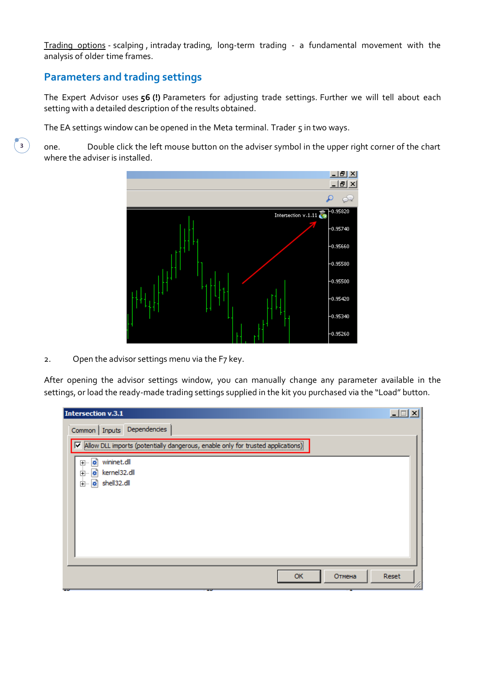Trading options - scalping , intraday trading, long-term trading - a fundamental movement with the analysis of older time frames.

# **Parameters and trading settings**

The Expert Advisor uses **56 (!)** Parameters for adjusting trade settings. Further we will tell about each setting with a detailed description of the results obtained.

The EA settings window can be opened in the Meta terminal. Trader 5 in two ways.

one. Double click the left mouse button on the adviser symbol in the upper right corner of the chart where the adviser is installed.



2. Open the advisor settings menu via the F7 key.

After opening the advisor settings window, you can manually change any parameter available in the settings, or load the ready-made trading settings supplied in the kit you purchased via the "Load" button.

| Intersection v.3.1                                                                   | $\Box$ |
|--------------------------------------------------------------------------------------|--------|
| Common   Inputs Dependencies                                                         |        |
| Allow DLL imports (potentially dangerous, enable only for trusted applications)<br>⋉ |        |
| ø,<br>wininet.dll<br>$\overline{+}$<br>kernel32.dll<br><b>i</b> -<br><b>o</b>        |        |
| shell32.dll<br>Ė⊡<br>ø                                                               |        |
|                                                                                      |        |
|                                                                                      |        |
|                                                                                      |        |
|                                                                                      |        |
| <b>OK</b><br>Отмена                                                                  | Reset  |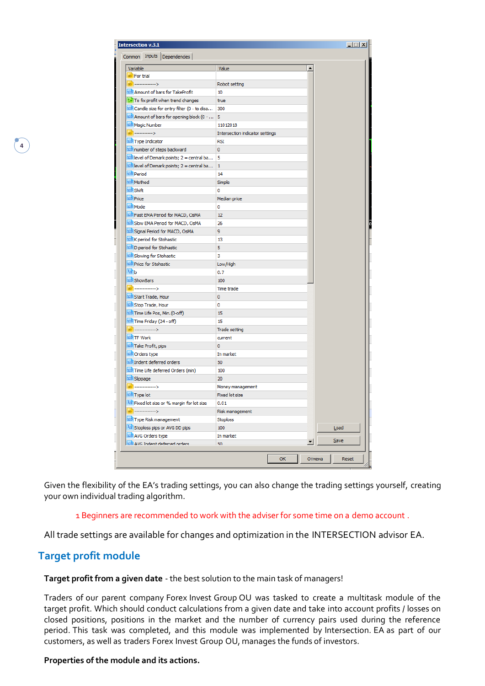| <b>Intersection v.3.1</b><br>Common Inputs Dependencies                                     |                                 |    |                      | ᆜᆷᅎ   |
|---------------------------------------------------------------------------------------------|---------------------------------|----|----------------------|-------|
|                                                                                             |                                 |    |                      |       |
| Variable<br>ab For trial                                                                    | Value                           |    |                      |       |
| ab <sup>a</sup> >                                                                           | Robot setting                   |    |                      |       |
| 123 Amount of bars for TakeProfit                                                           |                                 |    |                      |       |
|                                                                                             | 10<br>true                      |    |                      |       |
| <b>to</b> To fix profit when trend changes<br>123 Candle size for entry filter (0 - to disa | 300                             |    |                      |       |
| $12\overline{3}$ Amount of bars for opening block (0 -                                      | 5                               |    |                      |       |
| 123 Magic Number                                                                            | 11012018                        |    |                      |       |
| ab] ------------>                                                                           | Intersection indicator settings |    |                      |       |
| 123 Type Indicator                                                                          | <b>RSI</b>                      |    |                      |       |
| 123 number of steps backward                                                                | 0                               |    |                      |       |
| $123$ level of Demark points; $2 =$ central ba                                              | 5                               |    |                      |       |
| $12\overline{3}$ level of Demark points; 2 = central ba                                     | $\mathbf{1}$                    |    |                      |       |
| 123 Period                                                                                  | 14                              |    |                      |       |
| 123 Method                                                                                  | Simple                          |    |                      |       |
| 123 Shift                                                                                   | 0                               |    |                      |       |
| 123 Price                                                                                   | Median price                    |    |                      |       |
| 123 Mode                                                                                    | 0                               |    |                      |       |
| 123 Fast EMA Period for MACD, OsMA                                                          | 12                              |    |                      |       |
| 123 Slow EMA Period for MACD, OsMA                                                          | 26                              |    |                      |       |
| 123 Signal Period for MACD, OsMA                                                            | 9                               |    |                      |       |
| 123 K period for Stohastic                                                                  | 13                              |    |                      |       |
| 123 D period for Stohastic                                                                  | 5                               |    |                      |       |
| 123 Slowing for Stohastic                                                                   | 3                               |    |                      |       |
| 123 Price for Stohastic                                                                     | Low/High                        |    |                      |       |
| 1/2 b                                                                                       | 0.7                             |    |                      |       |
| 123 ShowBars                                                                                | 100                             |    |                      |       |
| ab <sup>1</sup> -------------->                                                             | Time trade                      |    |                      |       |
| 123 Start Trade, Hour                                                                       | 0                               |    |                      |       |
| 123 Stop Trade, Hour                                                                        | 0                               |    |                      |       |
| 123 Time Life Pos, Min. (0-off)                                                             | 15                              |    |                      |       |
| 123 Time Friday (24 - off)                                                                  | 15                              |    |                      |       |
| ab -------------->                                                                          | Trade setting                   |    |                      |       |
| 123 TF Work                                                                                 | current                         |    |                      |       |
| 123 Take Profit, pips                                                                       | 0                               |    |                      |       |
| 123 Orders type                                                                             | In market                       |    |                      |       |
| 123 Indent deferred orders                                                                  | 50                              |    |                      |       |
| 123 Time Life deferred Orders (min)                                                         | 100                             |    |                      |       |
| 123 Slippage                                                                                | 20                              |    |                      |       |
| $ab$ >                                                                                      | Money management                |    |                      |       |
| 123 Type lot                                                                                | <b>Fixed lot size</b>           |    |                      |       |
| 1/2 Fixed lot size or % margin for lot size                                                 | 0.01                            |    |                      |       |
| ------------>                                                                               | Risk management                 |    |                      |       |
| 123 Type Risk management                                                                    | <b>Stoploss</b>                 |    |                      |       |
| 1/2 Stoploss pips or AVG DD pips                                                            | 100                             |    |                      | Load  |
| 123 AVG Orders type                                                                         | In market                       |    |                      |       |
| 123 AVG Indent deferred orders                                                              | 50                              |    | $\blacktriangledown$ | Save  |
|                                                                                             |                                 |    |                      |       |
|                                                                                             |                                 | OK | Отмена               | Reset |

Given the flexibility of the EA's trading settings, you can also change the trading settings yourself, creating your own individual trading algorithm.

#### 1 Beginners are recommended to work with the adviser for some time on a demo account .

All trade settings are available for changes and optimization in the INTERSECTION advisor EA.

# **Target profit module**

**4**

#### **Target profit from a given date** - the best solution to the main task of managers!

Traders of our parent company Forex Invest Group OU was tasked to create a multitask module of the target profit. Which should conduct calculations from a given date and take into account profits / losses on closed positions, positions in the market and the number of currency pairs used during the reference period. This task was completed, and this module was implemented by Intersection. EA as part of our customers, as well as traders Forex Invest Group OU, manages the funds of investors.

#### **Properties of the module and its actions.**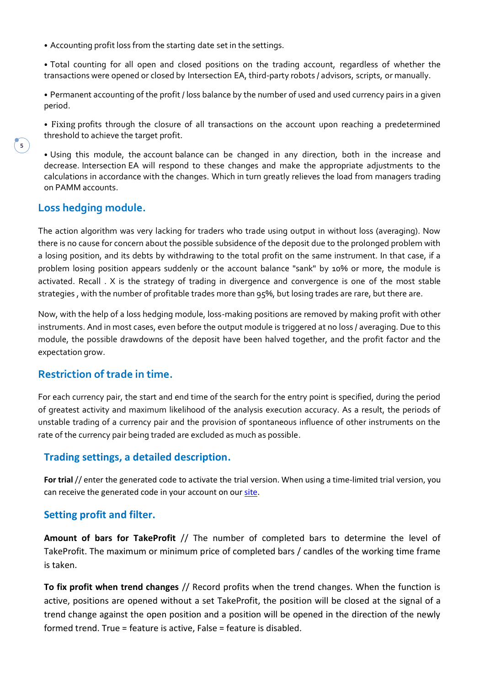⦁ Accounting profit loss from the starting date set in the settings.

⦁ Total counting for all open and closed positions on the trading account, regardless of whether the transactions were opened or closed by Intersection EA, third-party robots / advisors, scripts, or manually.

⦁ Permanent accounting of the profit / loss balance by the number of used and used currency pairs in a given period.

⦁ Fixing profits through the closure of all transactions on the account upon reaching a predetermined threshold to achieve the target profit.

⦁ Using this module, the account balance can be changed in any direction, both in the increase and decrease. Intersection EA will respond to these changes and make the appropriate adjustments to the calculations in accordance with the changes. Which in turn greatly relieves the load from managers trading on PAMM accounts.

# **Loss hedging module.**

The action algorithm was very lacking for traders who trade using output in without loss (averaging). Now there is no cause for concern about the possible subsidence of the deposit due to the prolonged problem with a losing position, and its debts by withdrawing to the total profit on the same instrument. In that case, if a problem losing position appears suddenly or the account balance "sank" by 10% or more, the module is activated. Recall . X is the strategy of trading in divergence and convergence is one of the most stable strategies , with the number of profitable trades more than 95%, but losing trades are rare, but there are.

Now, with the help of a loss hedging module, loss-making positions are removed by making profit with other instruments. And in most cases, even before the output module is triggered at no loss / averaging. Due to this module, the possible drawdowns of the deposit have been halved together, and the profit factor and the expectation grow.

### **Restriction of trade in time.**

For each currency pair, the start and end time of the search for the entry point is specified, during the period of greatest activity and maximum likelihood of the analysis execution accuracy. As a result, the periods of unstable trading of a currency pair and the provision of spontaneous influence of other instruments on the rate of the currency pair being traded are excluded as much as possible.

### **Trading settings, a detailed description.**

**For trial**// enter the generated code to activate the trial version. When using a time-limited trial version, you can receive the generated code in your account on our [site.](https://soft4forex.com/private/login)

### **Setting profit and filter.**

**Amount of bars for TakeProfit** // The number of completed bars to determine the level of TakeProfit. The maximum or minimum price of completed bars / candles of the working time frame is taken.

**To fix profit when trend changes** // Record profits when the trend changes. When the function is active, positions are opened without a set TakeProfit, the position will be closed at the signal of a trend change against the open position and a position will be opened in the direction of the newly formed trend. True = feature is active, False = feature is disabled.

**5**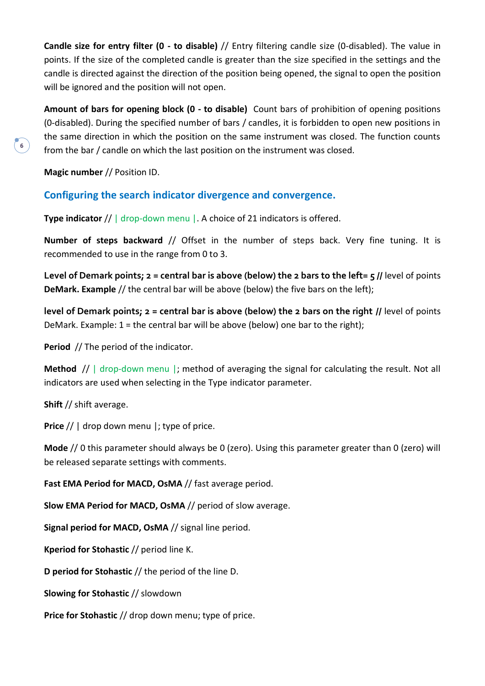**Candle size for entry filter (0 - to disable)** // Entry filtering candle size (0-disabled). The value in points. If the size of the completed candle is greater than the size specified in the settings and the candle is directed against the direction of the position being opened, the signal to open the position will be ignored and the position will not open.

**Amount of bars for opening block (0 - to disable)** Count bars of prohibition of opening positions (0-disabled). During the specified number of bars / candles, it is forbidden to open new positions in the same direction in which the position on the same instrument was closed. The function counts from the bar / candle on which the last position on the instrument was closed.

**Magic number** // Position ID.

**6**

# **Configuring the search indicator divergence and convergence.**

**Type indicator** // | drop-down menu | A choice of 21 indicators is offered.

**Number of steps backward** // Offset in the number of steps back. Very fine tuning. It is recommended to use in the range from 0 to 3.

**Level of Demark points; 2 = central bar is above (below) the 2 bars to the left= 5 //** level of points **DeMark. Example** // the central bar will be above (below) the five bars on the left);

**level of Demark points; 2 = central bar is above (below) the 2 bars on the right //** level of points DeMark. Example: 1 = the central bar will be above (below) one bar to the right);

**Period** // The period of the indicator.

**Method** // | drop-down menu |; method of averaging the signal for calculating the result. Not all indicators are used when selecting in the Type indicator parameter.

**Shift** // shift average.

Price // | drop down menu |; type of price.

**Mode** // 0 this parameter should always be 0 (zero). Using this parameter greater than 0 (zero) will be released separate settings with comments.

**Fast EMA Period for MACD, OsMA** // fast average period.

**Slow EMA Period for MACD, OsMA** // period of slow average.

**Signal period for MACD, OsMA** // signal line period.

**Kperiod for Stohastic** // period line K.

**D period for Stohastic** // the period of the line D.

**Slowing for Stohastic** // slowdown

**Price for Stohastic** // drop down menu; type of price.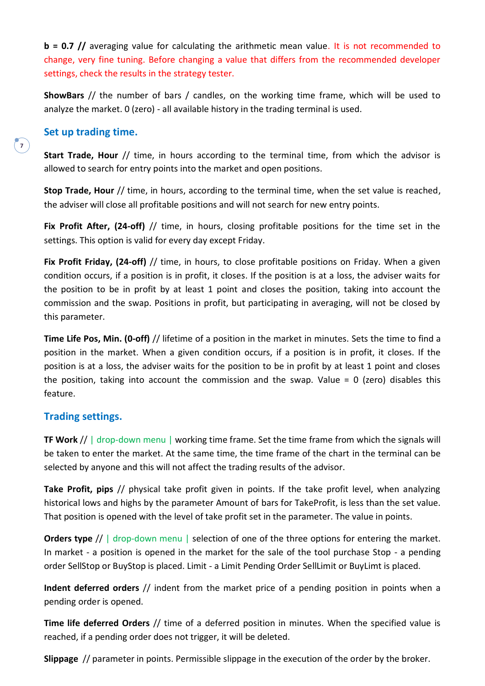**b = 0.7 //** averaging value for calculating the arithmetic mean value. It is not recommended to change, very fine tuning. Before changing a value that differs from the recommended developer settings, check the results in the strategy tester.

**ShowBars** // the number of bars / candles, on the working time frame, which will be used to analyze the market. 0 (zero) - all available history in the trading terminal is used.

#### **Set up trading time.**

**Start Trade, Hour** // time, in hours according to the terminal time, from which the advisor is allowed to search for entry points into the market and open positions.

**Stop Trade, Hour** // time, in hours, according to the terminal time, when the set value is reached, the adviser will close all profitable positions and will not search for new entry points.

**Fix Profit After, (24-off)** // time, in hours, closing profitable positions for the time set in the settings. This option is valid for every day except Friday.

**Fix Profit Friday, (24-off)** // time, in hours, to close profitable positions on Friday. When a given condition occurs, if a position is in profit, it closes. If the position is at a loss, the adviser waits for the position to be in profit by at least 1 point and closes the position, taking into account the commission and the swap. Positions in profit, but participating in averaging, will not be closed by this parameter.

**Time Life Pos, Min. (0-off)** // lifetime of a position in the market in minutes. Sets the time to find a position in the market. When a given condition occurs, if a position is in profit, it closes. If the position is at a loss, the adviser waits for the position to be in profit by at least 1 point and closes the position, taking into account the commission and the swap. Value =  $0$  (zero) disables this feature.

### **Trading settings.**

**TF Work** // | drop-down menu | working time frame. Set the time frame from which the signals will be taken to enter the market. At the same time, the time frame of the chart in the terminal can be selected by anyone and this will not affect the trading results of the advisor.

**Take Profit, pips** // physical take profit given in points. If the take profit level, when analyzing historical lows and highs by the parameter Amount of bars for TakeProfit, is less than the set value. That position is opened with the level of take profit set in the parameter. The value in points.

**Orders type** // | drop-down menu | selection of one of the three options for entering the market. In market - a position is opened in the market for the sale of the tool purchase Stop - a pending order SellStop or BuyStop is placed. Limit - a Limit Pending Order SellLimit or BuyLimt is placed.

**Indent deferred orders** // indent from the market price of a pending position in points when a pending order is opened.

**Time life deferred Orders** // time of a deferred position in minutes. When the specified value is reached, if a pending order does not trigger, it will be deleted.

**Slippage** // parameter in points. Permissible slippage in the execution of the order by the broker.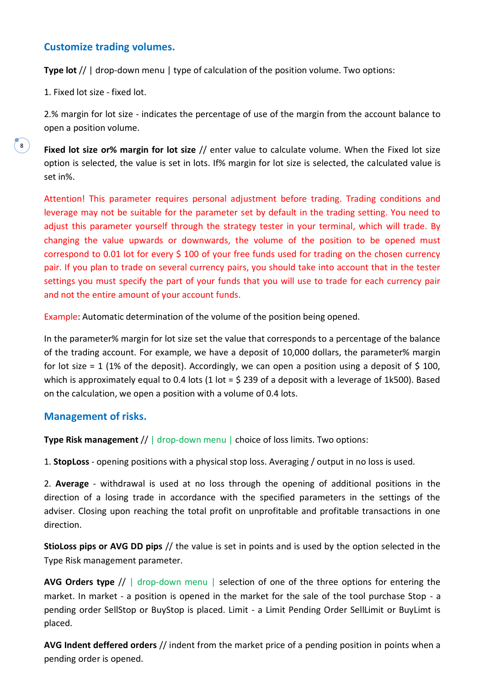#### **Customize trading volumes.**

**Type lot** // | drop-down menu | type of calculation of the position volume. Two options:

1. Fixed lot size - fixed lot.

**8**

2.% margin for lot size - indicates the percentage of use of the margin from the account balance to open a position volume.

**Fixed lot size or% margin for lot size** // enter value to calculate volume. When the Fixed lot size option is selected, the value is set in lots. If% margin for lot size is selected, the calculated value is set in%.

Attention! This parameter requires personal adjustment before trading. Trading conditions and leverage may not be suitable for the parameter set by default in the trading setting. You need to adjust this parameter yourself through the strategy tester in your terminal, which will trade. By changing the value upwards or downwards, the volume of the position to be opened must correspond to 0.01 lot for every \$ 100 of your free funds used for trading on the chosen currency pair. If you plan to trade on several currency pairs, you should take into account that in the tester settings you must specify the part of your funds that you will use to trade for each currency pair and not the entire amount of your account funds.

Example: Automatic determination of the volume of the position being opened.

In the parameter% margin for lot size set the value that corresponds to a percentage of the balance of the trading account. For example, we have a deposit of 10,000 dollars, the parameter% margin for lot size = 1 (1% of the deposit). Accordingly, we can open a position using a deposit of \$ 100, which is approximately equal to 0.4 lots (1 lot = \$ 239 of a deposit with a leverage of 1k500). Based on the calculation, we open a position with a volume of 0.4 lots.

#### **Management of risks.**

**Type Risk management** // | drop-down menu | choice of loss limits. Two options:

1. **StopLoss** - opening positions with a physical stop loss. Averaging / output in no loss is used.

2. **Average** - withdrawal is used at no loss through the opening of additional positions in the direction of a losing trade in accordance with the specified parameters in the settings of the adviser. Closing upon reaching the total profit on unprofitable and profitable transactions in one direction.

**StioLoss pips or AVG DD pips** // the value is set in points and is used by the option selected in the Type Risk management parameter.

**AVG Orders type** // | drop-down menu | selection of one of the three options for entering the market. In market - a position is opened in the market for the sale of the tool purchase Stop - a pending order SellStop or BuyStop is placed. Limit - a Limit Pending Order SellLimit or BuyLimt is placed.

**AVG Indent deffered orders** // indent from the market price of a pending position in points when a pending order is opened.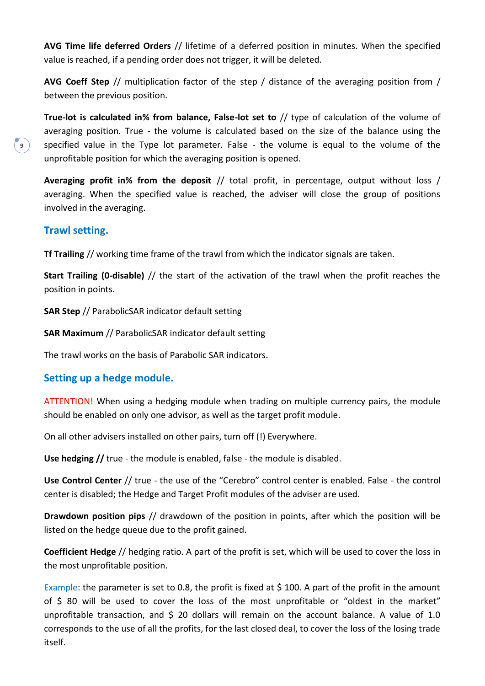**AVG Time life deferred Orders** // lifetime of a deferred position in minutes. When the specified value is reached, if a pending order does not trigger, it will be deleted.

**AVG Coeff Step** // multiplication factor of the step / distance of the averaging position from / between the previous position.

**True-lot is calculated in% from balance, False-lot set to** // type of calculation of the volume of averaging position. True - the volume is calculated based on the size of the balance using the specified value in the Type lot parameter. False - the volume is equal to the volume of the unprofitable position for which the averaging position is opened.

**Averaging profit in% from the deposit** // total profit, in percentage, output without loss / averaging. When the specified value is reached, the adviser will close the group of positions involved in the averaging.

### **Trawl setting.**

**Tf Trailing** // working time frame of the trawl from which the indicator signals are taken.

**Start Trailing (0-disable)** // the start of the activation of the trawl when the profit reaches the position in points.

**SAR Step** // ParabolicSAR indicator default setting

**SAR Maximum** // ParabolicSAR indicator default setting

The trawl works on the basis of Parabolic SAR indicators.

#### **Setting up a hedge module.**

ATTENTION! When using a hedging module when trading on multiple currency pairs, the module should be enabled on only one advisor, as well as the target profit module.

On all other advisers installed on other pairs, turn off (!) Everywhere.

**Use hedging //** true - the module is enabled, false - the module is disabled.

**Use Control Center** // true - the use of the "Cerebro" control center is enabled. False - the control center is disabled; the Hedge and Target Profit modules of the adviser are used.

**Drawdown position pips** // drawdown of the position in points, after which the position will be listed on the hedge queue due to the profit gained.

**Coefficient Hedge** // hedging ratio. A part of the profit is set, which will be used to cover the loss in the most unprofitable position.

Example: the parameter is set to 0.8, the profit is fixed at  $\frac{1}{2}$  100. A part of the profit in the amount of \$ 80 will be used to cover the loss of the most unprofitable or "oldest in the market" unprofitable transaction, and \$ 20 dollars will remain on the account balance. A value of 1.0 corresponds to the use of all the profits, for the last closed deal, to cover the loss of the losing trade itself.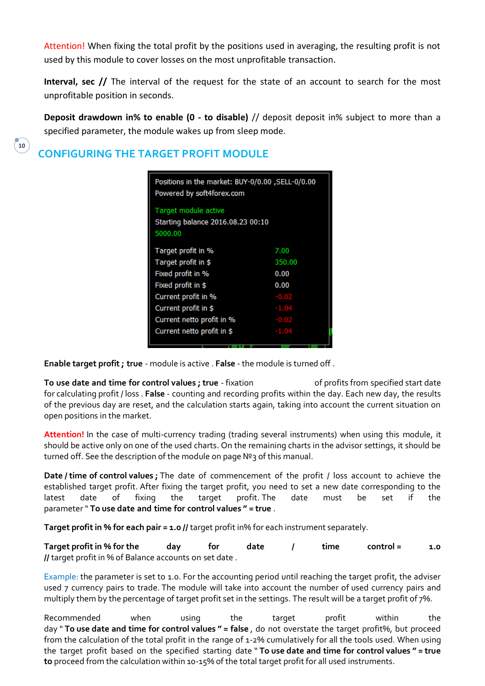Attention! When fixing the total profit by the positions used in averaging, the resulting profit is not used by this module to cover losses on the most unprofitable transaction.

**Interval, sec //** The interval of the request for the state of an account to search for the most unprofitable position in seconds.

**Deposit drawdown in% to enable (0 - to disable)** // deposit deposit in% subject to more than a specified parameter, the module wakes up from sleep mode.

# **CONFIGURING THE TARGET PROFIT MODULE**

**10**

| Positions in the market: BUY-0/0.00 , SELL-0/0.00<br>Powered by soft4forex.com |               |  |  |  |
|--------------------------------------------------------------------------------|---------------|--|--|--|
| Target module active<br>Starting balance 2016.08.23 00:10<br>5000.00           |               |  |  |  |
| Target profit in %                                                             | 7.00          |  |  |  |
| Target profit in \$                                                            | 350.00        |  |  |  |
| Fixed profit in %                                                              | 0.00          |  |  |  |
| Fixed profit in \$                                                             | 0.00          |  |  |  |
| Current profit in %                                                            | $-0.02$       |  |  |  |
| Current profit in \$                                                           | $-1.04$       |  |  |  |
| Current netto profit in %                                                      | $-0.02$       |  |  |  |
| Current netto profit in \$                                                     | $-1.04$       |  |  |  |
|                                                                                | <b>TENNIS</b> |  |  |  |

**Enable target profit; true** - module is active . **False** - the module is turned off .

**To use date and time for control values ; true** - fixation of profits from specified start date for calculating profit / loss . **False** - counting and recording profits within the day. Each new day, the results of the previous day are reset, and the calculation starts again, taking into account the current situation on open positions in the market.

**Attention!** In the case of multi-currency trading (trading several instruments) when using this module, it should be active only on one of the used charts. On the remaining charts in the advisor settings, it should be turned off. See the description of the module on page Nº3 of this manual.

**Date / time of control values ;** The date of commencement of the profit / loss account to achieve the established target profit. After fixing the target profit, you need to set a new date corresponding to the latest date of fixing the target profit. The date must be set if the parameter" **To use date and time for control values " = true** .

**Target profit in % for each pair = 1.0 //** target profit in% for each instrument separately.

**Target profit in % for the day for date / time control = 1.0 //** target profit in % of Balance accounts on set date .

Example: the parameter is set to 1.0. For the accounting period until reaching the target profit, the adviser used 7 currency pairs to trade. The module will take into account the number of used currency pairs and multiply them by the percentage of target profit set in the settings. The result will be a target profit of 7%.

Recommended when using the target profit within the day " **To use date and time for control values " = false** , do not overstate the target profit%, but proceed from the calculation of the total profit in the range of 1-2% cumulatively for all the tools used. When using the target profit based on the specified starting date " **To use date and time for control values " = true to** proceed from the calculation within 10-15% of the total target profit for all used instruments.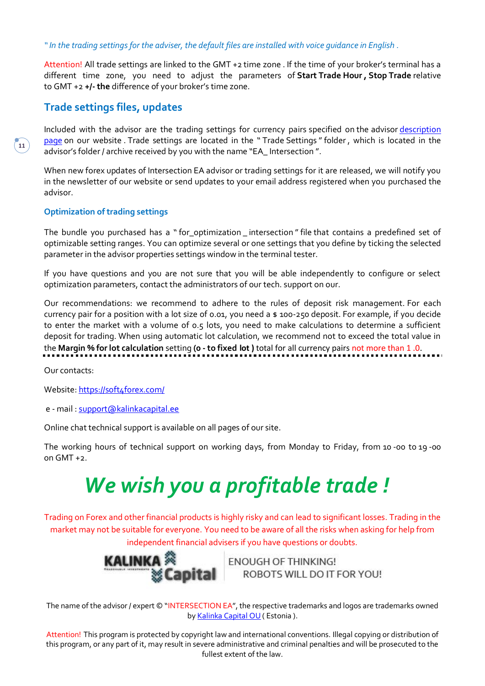*" In the trading settings for the adviser, the default files are installed with voice guidance in English .*

Attention! All trade settings are linked to the GMT +2 time zone . If the time of your broker's terminal has a different time zone, you need to adjust the parameters of **Start Trade Hour , Stop Trade** relative to GMT +2 **+/-the** difference of your broker's time zone.

## **Trade settings files, updates**

Included with the advisor are the trading settings for currency pairs specified on the advisor [description](https://soft4forex.com/software-for-trader/trade-robots/trading-robot-intersection-ea-122)  [page](https://soft4forex.com/software-for-trader/trade-robots/trading-robot-intersection-ea-122) on our website . Trade settings are located in the " Trade Settings "folder , which is located in the advisor's folder / archive received by you with the name "EA\_ Intersection ".

When new forex updates of Intersection EA advisor or trading settings for it are released, we will notify you in the newsletter of our website or send updates to your email address registered when you purchased the advisor.

#### **Optimization of trading settings**

The bundle you purchased has a "for\_optimization\_intersection" file that contains a predefined set of optimizable setting ranges. You can optimize several or one settings that you define by ticking the selected parameter in the advisor properties settings window in the terminal tester.

If you have questions and you are not sure that you will be able independently to configure or select optimization parameters, contact the administrators of our tech. support on our.

Our recommendations: we recommend to adhere to the rules of deposit risk management. For each currency pair for a position with a lot size of 0.01, you need a \$ 100-250 deposit. For example, if you decide to enter the market with a volume of 0.5 lots, you need to make calculations to determine a sufficient deposit for trading. When using automatic lot calculation, we recommend not to exceed the total value in the **Margin % for lot calculation** setting **(0 -to fixed lot )** total for all currency pairs not more than 1 .0.

Our contacts:

Website: <https://soft4forex.com/>

e - mail : [support@kalinkacapital.ee](mailto:support@kalinkacapital.ee)

Online chat technical support is available on all pages of our site.

The working hours of technical support on working days, from Monday to Friday, from 10 -00 to 19 -00 on  $GMT + 2$ .

# *We wish you a profitable trade !*

Trading on Forex and other financial products is highly risky and can lead to significant losses. Trading in the market may not be suitable for everyone. You need to be aware of all the risks when asking for help from independent financial advisers if you have questions or doubts.



**FNOUGH OF THINKING!** ROBOTS WILL DO IT FOR YOU!

The name of the advisor / expert © "INTERSECTION EA", the respective trademarks and logos are trademarks owned by [Kalinka](https://translate.google.com/translate?hl=ru&prev=_t&sl=ru&tl=en&u=http://kalinkacapital.ee/) [Capital](https://translate.google.com/translate?hl=ru&prev=_t&sl=ru&tl=en&u=http://kalinkacapital.ee/) [OU\(](https://translate.google.com/translate?hl=ru&prev=_t&sl=ru&tl=en&u=http://kalinkacapital.ee/) Estonia ).

Attention! This program is protected by copyright law and international conventions. Illegal copying or distribution of this program, or any part of it, may result in severe administrative and criminal penalties and will be prosecuted to the fullest extent of the law.